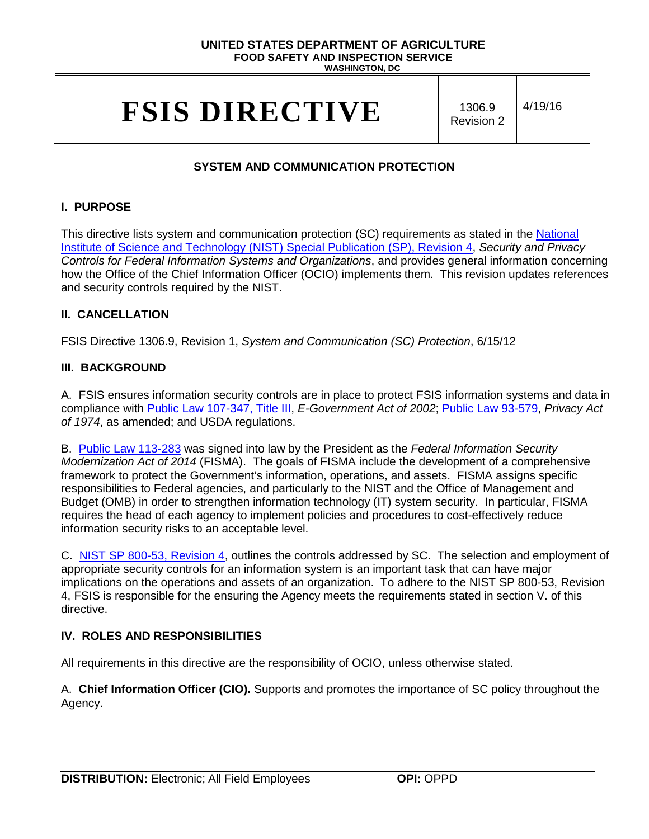# **UNITED STATES DEPARTMENT OF AGRICULTURE FOOD SAFETY AND INSPECTION SERVICE**

**WASHINGTON, DC**

# **FSIS DIRECTIVE** | 1306.9

Revision 2

4/19/16

# **SYSTEM AND COMMUNICATION PROTECTION**

# **I. PURPOSE**

This directive lists system and communication protection (SC) requirements as stated in the National [Institute of Science and Technology \(NIST\) Special Publication \(SP\), Revision 4,](http://nvlpubs.nist.gov/nistpubs/SpecialPublications/NIST.SP.800-53r4.pdf) *Security and Privacy Controls for Federal Information Systems and Organizations*, and provides general information concerning how the Office of the Chief Information Officer (OCIO) implements them. This revision updates references and security controls required by the NIST.

# **II. CANCELLATION**

FSIS Directive 1306.9, Revision 1, *System and Communication (SC) Protection*, 6/15/12

# **III. BACKGROUND**

A. FSIS ensures information security controls are in place to protect FSIS information systems and data in compliance with [Public Law 107-347, Title III,](http://www.gpo.gov/fdsys/pkg/PLAW-107publ347/pdf/PLAW-107publ347.pdf) *E-Government Act of 2002*; [Public Law 93-579,](http://www.justice.gov/opcl/privacy-act-1974) *Privacy Act of 1974*, as amended; and USDA regulations.

B. [Public Law 113-283](https://www.congress.gov/113/plaws/publ283/PLAW-113publ283.pdf) was signed into law by the President as the *Federal Information Security Modernization Act of 2014* (FISMA). The goals of FISMA include the development of a comprehensive framework to protect the Government's information, operations, and assets. FISMA assigns specific responsibilities to Federal agencies, and particularly to the NIST and the Office of Management and Budget (OMB) in order to strengthen information technology (IT) system security. In particular, FISMA requires the head of each agency to implement policies and procedures to cost-effectively reduce information security risks to an acceptable level.

C. NIST SP [800-53, Revision 4,](http://nvlpubs.nist.gov/nistpubs/SpecialPublications/NIST.SP.800-53r4.pdf) outlines the controls addressed by SC. The selection and employment of appropriate security controls for an information system is an important task that can have major implications on the operations and assets of an organization. To adhere to the NIST SP 800-53, Revision 4, FSIS is responsible for the ensuring the Agency meets the requirements stated in section V. of this directive.

# **IV. ROLES AND RESPONSIBILITIES**

All requirements in this directive are the responsibility of OCIO, unless otherwise stated.

A. **Chief Information Officer (CIO).** Supports and promotes the importance of SC policy throughout the Agency.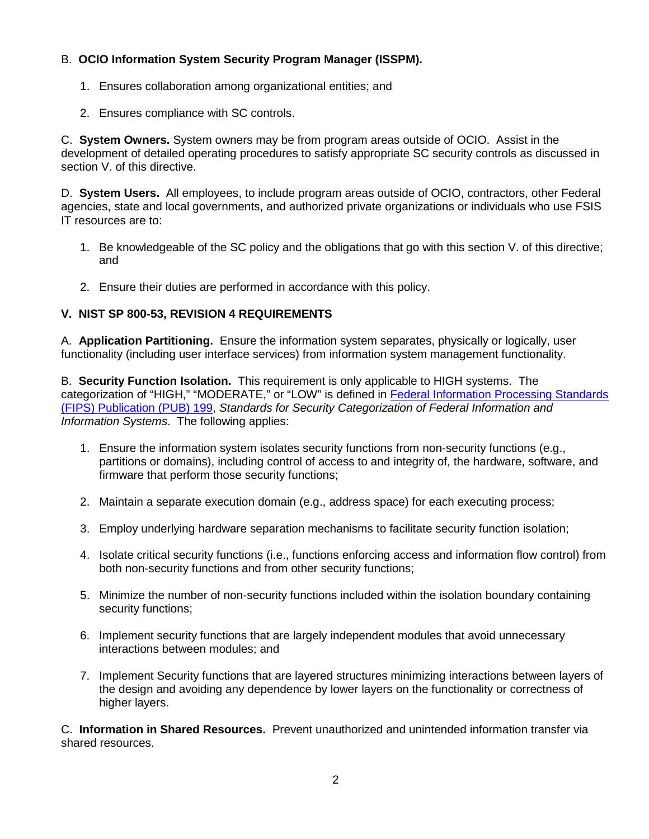# B. **OCIO Information System Security Program Manager (ISSPM).**

- 1. Ensures collaboration among organizational entities; and
- 2. Ensures compliance with SC controls.

C. **System Owners.** System owners may be from program areas outside of OCIO. Assist in the development of detailed operating procedures to satisfy appropriate SC security controls as discussed in section V. of this directive.

D. **System Users.** All employees, to include program areas outside of OCIO, contractors, other Federal agencies, state and local governments, and authorized private organizations or individuals who use FSIS IT resources are to:

- 1. Be knowledgeable of the SC policy and the obligations that go with this section V. of this directive; and
- 2. Ensure their duties are performed in accordance with this policy.

# **V. NIST SP 800-53, REVISION 4 REQUIREMENTS**

A. **Application Partitioning.** Ensure the information system separates, physically or logically, user functionality (including user interface services) from information system management functionality.

B. **Security Function Isolation.** This requirement is only applicable to HIGH systems. The categorization of "HIGH," "MODERATE," or "LOW" is defined in [Federal Information Processing Standards](http://csrc.nist.gov/publications/fips/fips199/FIPS-PUB-199-final.pdf)  [\(FIPS\) Publication](http://csrc.nist.gov/publications/fips/fips199/FIPS-PUB-199-final.pdf) (PUB) 199, *Standards for Security Categorization of Federal Information and Information Systems*. The following applies:

- 1. Ensure the information system isolates security functions from non-security functions (e.g., partitions or domains), including control of access to and integrity of, the hardware, software, and firmware that perform those security functions;
- 2. Maintain a separate execution domain (e.g., address space) for each executing process;
- 3. Employ underlying hardware separation mechanisms to facilitate security function isolation;
- 4. Isolate critical security functions (i.e., functions enforcing access and information flow control) from both non-security functions and from other security functions;
- 5. Minimize the number of non-security functions included within the isolation boundary containing security functions;
- 6. Implement security functions that are largely independent modules that avoid unnecessary interactions between modules; and
- 7. Implement Security functions that are layered structures minimizing interactions between layers of the design and avoiding any dependence by lower layers on the functionality or correctness of higher layers.

C. **Information in Shared Resources.** Prevent unauthorized and unintended information transfer via shared resources.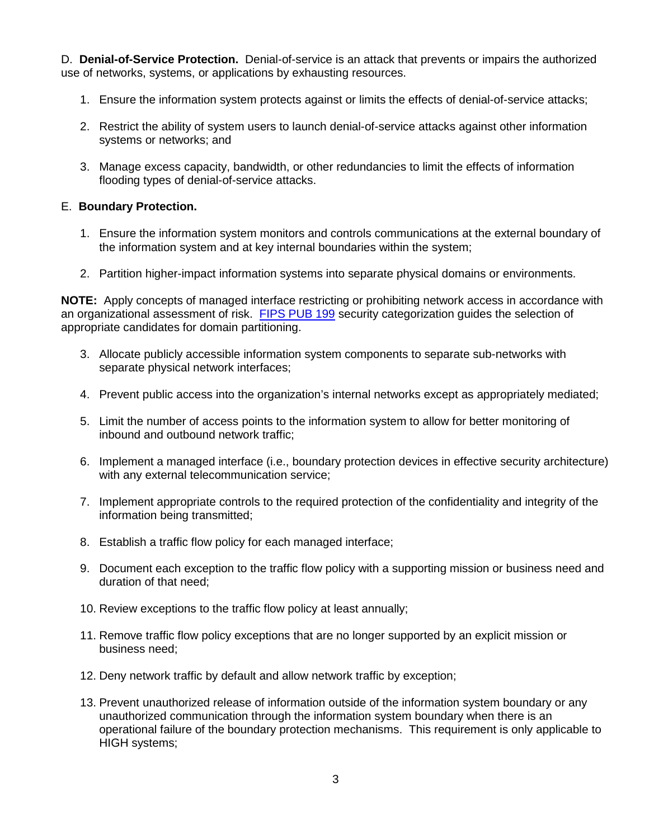D. **Denial-of-Service Protection.** Denial-of-service is an attack that prevents or impairs the authorized use of networks, systems, or applications by exhausting resources.

- 1. Ensure the information system protects against or limits the effects of denial-of-service attacks;
- 2. Restrict the ability of system users to launch denial-of-service attacks against other information systems or networks; and
- 3. Manage excess capacity, bandwidth, or other redundancies to limit the effects of information flooding types of denial-of-service attacks.

#### E. **Boundary Protection.**

- 1. Ensure the information system monitors and controls communications at the external boundary of the information system and at key internal boundaries within the system;
- 2. Partition higher-impact information systems into separate physical domains or environments.

**NOTE:** Apply concepts of managed interface restricting or prohibiting network access in accordance with an organizational assessment of risk. [FIPS PUB 199](http://csrc.nist.gov/publications/fips/fips199/FIPS-PUB-199-final.pdf) security categorization guides the selection of appropriate candidates for domain partitioning.

- 3. Allocate publicly accessible information system components to separate sub-networks with separate physical network interfaces;
- 4. Prevent public access into the organization's internal networks except as appropriately mediated;
- 5. Limit the number of access points to the information system to allow for better monitoring of inbound and outbound network traffic;
- 6. Implement a managed interface (i.e., boundary protection devices in effective security architecture) with any external telecommunication service;
- 7. Implement appropriate controls to the required protection of the confidentiality and integrity of the information being transmitted;
- 8. Establish a traffic flow policy for each managed interface;
- 9. Document each exception to the traffic flow policy with a supporting mission or business need and duration of that need;
- 10. Review exceptions to the traffic flow policy at least annually;
- 11. Remove traffic flow policy exceptions that are no longer supported by an explicit mission or business need;
- 12. Deny network traffic by default and allow network traffic by exception;
- 13. Prevent unauthorized release of information outside of the information system boundary or any unauthorized communication through the information system boundary when there is an operational failure of the boundary protection mechanisms. This requirement is only applicable to HIGH systems;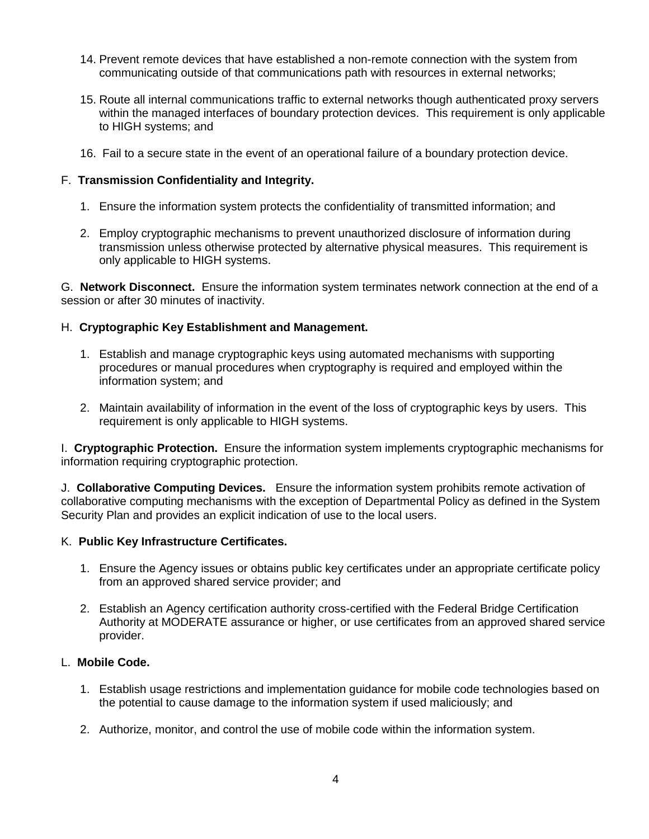- 14. Prevent remote devices that have established a non-remote connection with the system from communicating outside of that communications path with resources in external networks;
- 15. Route all internal communications traffic to external networks though authenticated proxy servers within the managed interfaces of boundary protection devices. This requirement is only applicable to HIGH systems; and
- 16. Fail to a secure state in the event of an operational failure of a boundary protection device.

# F. **Transmission Confidentiality and Integrity.**

- 1. Ensure the information system protects the confidentiality of transmitted information; and
- 2. Employ cryptographic mechanisms to prevent unauthorized disclosure of information during transmission unless otherwise protected by alternative physical measures. This requirement is only applicable to HIGH systems.

G. **Network Disconnect.** Ensure the information system terminates network connection at the end of a session or after 30 minutes of inactivity.

# H. **Cryptographic Key Establishment and Management.**

- 1. Establish and manage cryptographic keys using automated mechanisms with supporting procedures or manual procedures when cryptography is required and employed within the information system; and
- 2. Maintain availability of information in the event of the loss of cryptographic keys by users. This requirement is only applicable to HIGH systems.

I. **Cryptographic Protection.** Ensure the information system implements cryptographic mechanisms for information requiring cryptographic protection.

J. **Collaborative Computing Devices.** Ensure the information system prohibits remote activation of collaborative computing mechanisms with the exception of Departmental Policy as defined in the System Security Plan and provides an explicit indication of use to the local users.

# K. **Public Key Infrastructure Certificates.**

- 1. Ensure the Agency issues or obtains public key certificates under an appropriate certificate policy from an approved shared service provider; and
- 2. Establish an Agency certification authority cross-certified with the Federal Bridge Certification Authority at MODERATE assurance or higher, or use certificates from an approved shared service provider.

# L. **Mobile Code.**

- 1. Establish usage restrictions and implementation guidance for mobile code technologies based on the potential to cause damage to the information system if used maliciously; and
- 2. Authorize, monitor, and control the use of mobile code within the information system.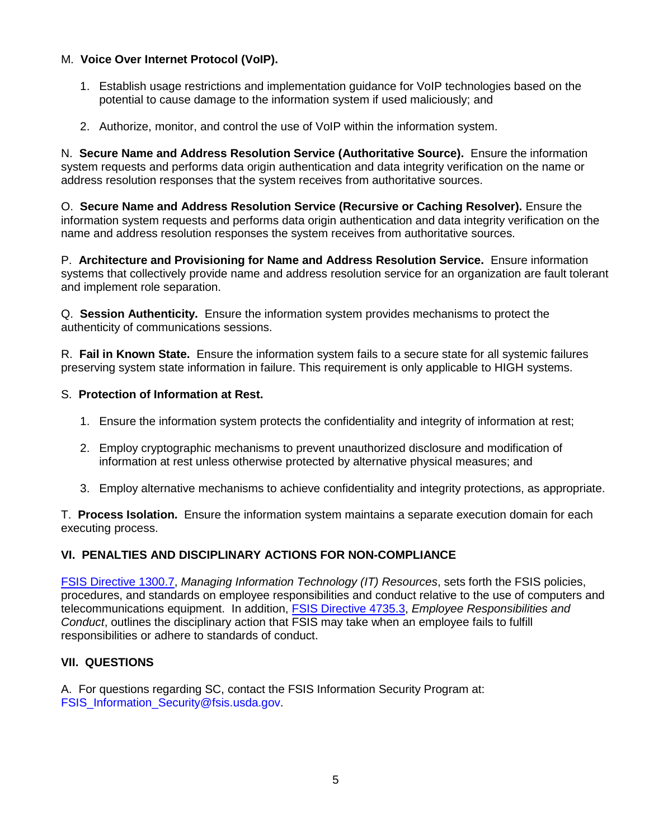# M. **Voice Over Internet Protocol (VoIP).**

- 1. Establish usage restrictions and implementation guidance for VoIP technologies based on the potential to cause damage to the information system if used maliciously; and
- 2. Authorize, monitor, and control the use of VoIP within the information system.

N. **Secure Name and Address Resolution Service (Authoritative Source).** Ensure the information system requests and performs data origin authentication and data integrity verification on the name or address resolution responses that the system receives from authoritative sources.

O. **Secure Name and Address Resolution Service (Recursive or Caching Resolver).** Ensure the information system requests and performs data origin authentication and data integrity verification on the name and address resolution responses the system receives from authoritative sources.

P. **Architecture and Provisioning for Name and Address Resolution Service.** Ensure information systems that collectively provide name and address resolution service for an organization are fault tolerant and implement role separation.

Q. **Session Authenticity.** Ensure the information system provides mechanisms to protect the authenticity of communications sessions.

R. **Fail in Known State.** Ensure the information system fails to a secure state for all systemic failures preserving system state information in failure. This requirement is only applicable to HIGH systems.

#### S. **Protection of Information at Rest.**

- 1. Ensure the information system protects the confidentiality and integrity of information at rest;
- 2. Employ cryptographic mechanisms to prevent unauthorized disclosure and modification of information at rest unless otherwise protected by alternative physical measures; and
- 3. Employ alternative mechanisms to achieve confidentiality and integrity protections, as appropriate.

T. **Process Isolation.** Ensure the information system maintains a separate execution domain for each executing process.

# **VI. PENALTIES AND DISCIPLINARY ACTIONS FOR NON-COMPLIANCE**

[FSIS Directive 1300.7,](http://www.fsis.usda.gov/wps/wcm/connect/b3406ba7-305f-4ff9-b513-ef212423afb8/1300.7.pdf?MOD=AJPERES) *Managing Information Technology (IT) Resources*, sets forth the FSIS policies, procedures, and standards on employee responsibilities and conduct relative to the use of computers and telecommunications equipment. In addition, [FSIS Directive 4735.3,](http://www.fsis.usda.gov/wps/wcm/connect/98f86e3d-4c63-403a-ba33-650d9c79f1f2/4735.3.pdf?MOD=AJPERES) *Employee Responsibilities and Conduct*, outlines the disciplinary action that FSIS may take when an employee fails to fulfill responsibilities or adhere to standards of conduct.

# **VII. QUESTIONS**

A. For questions regarding SC, contact the FSIS Information Security Program at: [FSIS\\_Information\\_Security@fsis.usda.gov.](mailto:FSIS_Information_Security@fsis.usda.gov)